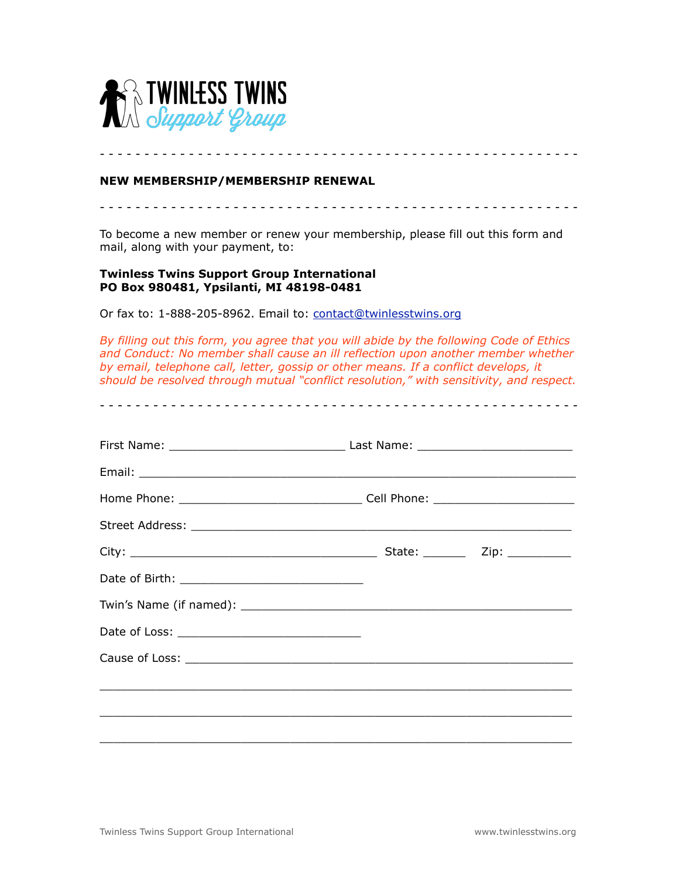

## **NEW MEMBERSHIP/MEMBERSHIP RENEWAL**

To become a new member or renew your membership, please fill out this form and mail, along with your payment, to:

- - - - - - - - - - - - - - - - - - - - - - - - - - - - - - - - - - - - - - - - - - - - - - - - - - - - - -

- - - - - - - - - - - - - - - - - - - - - - - - - - - - - - - - - - - - - - - - - - - - - - - - - - - - - -

## **Twinless Twins Support Group International PO Box 980481, Ypsilanti, MI 48198-0481**

Or fax to: 1-888-205-8962. Email to: [contact@twinlesstwins.org](mailto:contact@twinlesstwins.org)

*By filling out this form, you agree that you will abide by the following Code of Ethics and Conduct: No member shall cause an ill reflection upon another member whether by email, telephone call, letter, gossip or other means. If a conflict develops, it should be resolved through mutual "conflict resolution," with sensitivity, and respect.* 

- - - - - - - - - - - - - - - - - - - - - - - - - - - - - - - - - - - - - - - - - - - - - - - - - - - - - -